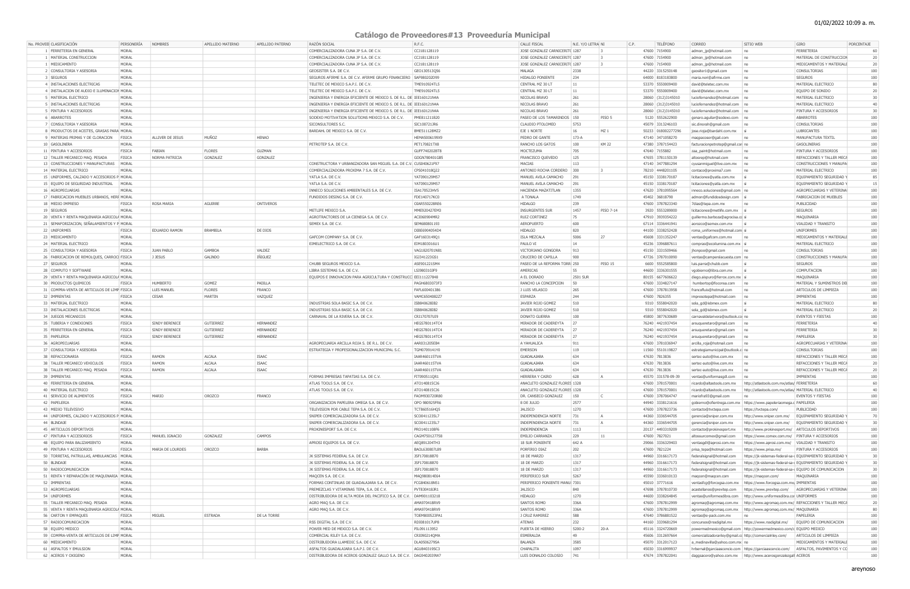## 01/02/2022 10:09 a. m.

## **Catálogo de Proveedores#13 Proveeduría Municipal**

| No. PROVEE CLASIFICACIÓN                                                                  | PERSONERÍA     | <b>NOMBRES</b>          | APELLIDO MATERNO | APELLIDO PATERNO | RAZÓN SOCIAL                                                                                              | R.F.C.                       | CALLE FISCAL                                     | N.E. Y/O LETRA NI | C.P.            | TELÉFONO                               | CORREO                                                    | SITIO WEB                                                                       | GIRO                                                                                  | PORCENTAJE      |
|-------------------------------------------------------------------------------------------|----------------|-------------------------|------------------|------------------|-----------------------------------------------------------------------------------------------------------|------------------------------|--------------------------------------------------|-------------------|-----------------|----------------------------------------|-----------------------------------------------------------|---------------------------------------------------------------------------------|---------------------------------------------------------------------------------------|-----------------|
| 1   FERRETERIA EN GENERAL                                                                 | MORAL          |                         |                  |                  | COMERCIALIZADORA CUNA JP S.A. DE C.V.                                                                     | CCJ181128119                 | JOSE GONZALEZ CARNICERIT( 1287                   |                   |                 | 47600 7154900                          | admon jp@hotmail.com                                      | no                                                                              | FERRETERIA                                                                            | -60             |
| 1 MATERIAL CONSTRUCCION                                                                   | MORAL          |                         |                  |                  | COMERCIALIZADORA CUNA JP S.A. DE C.V.                                                                     | CCJ181128119                 | JOSE GONZALEZ CARNICERIT( 1287                   |                   |                 | 47600 7154900                          | admon_jp@hotmail.com                                      | no                                                                              | MATERIAL DE CONSTRUCCION                                                              |                 |
| 1   MEDICAMENTO                                                                           | MORAL          |                         |                  |                  | COMERCIALIZADORA CUNA JP S.A. DE C.V.                                                                     | CCJ181128119                 | JOSE GONZALEZ CARNICERIT( 1287                   |                   |                 | 47600 7154900                          | admon_jp@hotmail.com                                      | no                                                                              | MEDICAMENTOS Y MATERIALE                                                              |                 |
| 2 CONSULTORIA Y ASESORIA                                                                  | MORAL          |                         |                  |                  | GEOSISTER S.A. DE C.V.                                                                                    | GEO130513Q56                 | MALAGA                                           | 2338              |                 | 44220 3315250148                       | geositer1@gmail.com                                       | n <sub>0</sub>                                                                  | <b>CONSULTORIAS</b>                                                                   | 100             |
| 3 SEGUROS                                                                                 | MORAL          |                         |                  |                  | SEGUROS AFIRME S.A. DE C.V. AFIRME GRUPO FINANCIERO SAF980202D99                                          |                              | <b>HIDALGO PONIENTE</b>                          | 234               |                 | 64000 8183183800                       | maria.neri@afirme.com                                     | n <sub>0</sub>                                                                  | SEGUROS                                                                               | 100             |
| 4 INSTALACIONES ELECTRICAS<br>4 INSTALACION DE AUDIO E ILUMINACION MORAL                  | MORAL          |                         |                  |                  | TELETEC DE MEXICO S.A.P.I. DE C.V.                                                                        | TME910924TL5<br>TME910924TL5 | CENTRAL MZ 30 LT<br>CENTRAL MZ 30 LT             |                   |                 | 53370 5550009400                       | david@teletec.com.mx                                      | n <sub>0</sub><br>n <sub>0</sub>                                                | MATERIAL ELECTRICO<br>EQUIPO DE SONIDO                                                |                 |
| 5 MATERIAL ELECTRICO                                                                      | MORAL          |                         |                  |                  | TELETEC DE MEXICO S.A.P.I. DE C.V.<br>INGENIERIA Y ENERGIA EFICIENTE DE MEXICO S. DE R.L. DE IEE160121N4A |                              | NICOLAS BRAVO                                    | 261               |                 | 53370 5550009400<br>28060 (312)3145010 | david@teletec.com.mx<br>luciofernandez@hotmail.com   no   |                                                                                 | MATERIAL ELECTRICO                                                                    |                 |
| 5 INSTALACIONES ELECTRICAS                                                                | MORAL          |                         |                  |                  | INGENIERIA Y ENERGIA EFICIENTE DE MEXICO S. DE R.L. DE IEE160121N4A                                       |                              | NICOLAS BRAVO                                    | 261               |                 | 28060 (312)3145010                     | luciofernandez@hotmail.com   no                           |                                                                                 | MATERIAL ELECTRICO                                                                    |                 |
| 5 PINTURA Y ACCESORIOS                                                                    | MORAL          |                         |                  |                  | INGENIERIA Y ENERGIA EFICIENTE DE MEXICO S. DE R.L. DE IEE160121N4A                                       |                              | NICOLAS BRAVO                                    | 261               |                 | 28060 (312)3145010                     | luciofernandez@hotmail.com   no                           |                                                                                 | PINTURA Y ACCESORIOS                                                                  |                 |
| 6 ABARROTES                                                                               | MORAL          |                         |                  |                  | SODEXO MOTIVATION SOLUTIONS MEXICO S.A. DE C.V.                                                           | PME811211B20                 | PASEO DE LOS TAMARINDOS   150                    |                   | PISO 5          | 5120 5552622900                        | genaro.aguilar@sodexo.com   no                            |                                                                                 | <b>ABARROTES</b>                                                                      | 100             |
| 7 CONSULTORIA Y ASESORIA                                                                  | MORAL          |                         |                  |                  | SICONSULTORES S.C.                                                                                        | SIC100721JR6                 | CLAUDIO PTOLOMEO                                 | 5753              |                 | 45079 3313246103                       | sic.dinorah@gmail.com                                     | n <sub>0</sub>                                                                  | CONSULTORIAS                                                                          | 100             |
| 8 PRODUCTOS DE ACEITES, GRASAS PARA MORAL                                                 |                |                         |                  |                  | BARDAHL DE MEXICO S.A. DE C.V.                                                                            | BME511128MZ2                 | EJE 1 NORTE                                      | 16                | MZ <sub>1</sub> | 50233 018002277296                     | jose.rioja@bardahl.com.mx   si                            |                                                                                 | LUBRICANTES                                                                           | 100             |
| 9 MATERIAS PRIMAS Y DE CLORACION FISICA                                                   |                | <b>ALLIVER DE JESUS</b> | MUÑOZ            | <b>HENAO</b>     |                                                                                                           | HEMA5006199X9                | PEDRO DE GANTE                                   | $173-A$           |                 | 47140 3471058270                       | maqpacoser@gail.com                                       | n <sub>0</sub>                                                                  | MANUFACTURA TEXTIL                                                                    |                 |
| 10 GASOLINERA                                                                             | MORAL          |                         |                  |                  | PETROTEP S.A. DE C.V.                                                                                     | PET170821TX8                 | RANCHO LOS GATOS                                 | 100               | KM 22           | 47380 3787154423                       | facturacionpetrotep@gmail.con no                          |                                                                                 | GASOLINERAS                                                                           |                 |
| 11 PINTURA Y ACCESORIOS                                                                   | <b>FISICA</b>  | <b>FABIAN</b>           | <b>FLORES</b>    | <b>GUZMAN</b>    |                                                                                                           | GUFF740202BT8                | MOCTEZUMA                                        | 705               |                 | 47640 7155882                          | zaa_paint@hotmail.com                                     | n <sub>0</sub>                                                                  | PINTURA Y ACCESORIOS                                                                  | 100             |
| 12 TALLER MECANICO MAQ. PESADA                                                            | <b>FISICA</b>  | NORMA PATRICIA          | GONZALEZ         | GONZALEZ         |                                                                                                           | GOGN780401GB5                | <b>FRANCISCO QUEVEDO</b>                         | 125               |                 | 47655 3781150139                       | altosrep@hotmail.com                                      | n <sub>0</sub>                                                                  | REFACCIONES Y TALLER MECA                                                             |                 |
| 13 CONSTRUCCIONES Y MANUFACTURAS MORAL                                                    |                |                         |                  |                  | CONSTRUCTORA Y URBANIZADORA SAN MIGUEL S.A. DE C.V. CUS040621F97                                          |                              | MACIAS                                           | 113               |                 | 47140 3477881294                       | cyusanmiquel@live.com.mx no                               |                                                                                 | CONSTRUCCIONES Y MANUFA                                                               | 100             |
| 14 MATERIAL ELECTRICO                                                                     | MORAL          |                         |                  |                  | COMERCIALIZADORA PROXIMA 7 S.A. DE C.V.                                                                   | CPS041018Q22                 | ANTONIO ROCHA CORDERO 300                        |                   |                 | 78210 4448201105                       | contaco@proxima7.com                                      | n <sub>0</sub>                                                                  | MATERIAL ELECTRICO                                                                    | 100             |
| 15 UNIFORMES, CALZADO Y ACCESORIOS P MORAL<br>15   EQUIPO DE SEGURIDAD INDUSTRIAL   MORAL |                |                         |                  |                  | YATLA S.A. DE C.V.<br>YATLA S.A. DE C.V.                                                                  | YAT090129M57<br>YAT090129M57 | MANUEL AVILA CAMACHO<br>MANUEL AVILA CAMACHO     | 291<br>291        |                 | 45150 3338170187<br>45150 3338170187   | licitaciones@yatla.com.mx si<br>licitaciones@yatla.com.mx |                                                                                 | EQUIPAMIENTO SEGURIDAD Y<br>EQUIPAMIENTO SEGURIDAD Y                                  |                 |
| 16 AGROPECUARIAS                                                                          | MORAL          |                         |                  |                  | INNECO SOLUCIONES AMBIENTALES S.A. DE C.V.                                                                | ISA170523HV5                 | <b>HACIENDA MAZATITLAN</b>                       | 1355              |                 | 47620 3781095564                       | inneco.soluciones@gmail.com   no                          |                                                                                 | AGROPECUARIAS Y VETERINA                                                              | 10 <sub>0</sub> |
| 17 FABRICACION MUEBLES URBANOS, HERF MORAL                                                |                |                         |                  |                  | FUNDIDOS DESING S.A. DE C.V.                                                                              | FDE140717KC0                 | A TONALA                                         | 1749              |                 | 45402 36818790                         | admon@fundidosdesign.com si                               |                                                                                 | <b>FABRICACION DE MUEBLES</b>                                                         |                 |
| 18 MEDIO IMPRESO                                                                          | <b>FISICA</b>  | ROSA MARIA              | AGUIRRE          | <b>ONTIVEROS</b> |                                                                                                           | OIAR550228RE6                | <b>HIDALGO</b>                                   | 239               |                 | 47600 3787823340                       | 7dias@tepa.com.mx                                         | no                                                                              | PUBLICIDAD                                                                            |                 |
| 19 SEGUROS                                                                                | MORAL          |                         |                  |                  | METLIFE MEXICO S.A.                                                                                       | MME920427EM3                 | INSURGENTES SUR                                  | 1457              | PISO 7-14       | 3920 5553289000                        | licitaciones@metlife.com.mx   si                          |                                                                                 | <b>SEGUROS</b>                                                                        | 10 <sub>C</sub> |
| 20 VENTA Y RENTA MAQUINARIA AGRICOLA MORAL                                                |                |                         |                  |                  | AGROTRACTORES DE LA CIENEGA S.A. DE C.V.                                                                  | ACI060904MR2                 | <b>RUIZ CORTINEZ</b>                             | 75                |                 | 47910 3939354222                       | guillermo.barboza@agrocisa.cc si                          |                                                                                 | MAQUINARIA                                                                            | 100             |
| 21 SEMAFORIZACION, SEÑALAMIENTOS Y P MORAL                                                |                |                         |                  |                  | SEMEX S.A. DE C.V.                                                                                        | SEM680801193                 | AEROPUERTO                                       | 600               |                 | 67114 3336441941                       | aorozco@semex.com.mx                                      |                                                                                 | <b>VIALIDAD Y TRANSITO</b>                                                            | 100             |
| 22 UNIFORMES                                                                              | <b>FISICA</b>  | EDUARDO RAMON           | BRAMBILA         | DE DIOS          |                                                                                                           | DIBE6904054D4                | <b>HIDALGO</b>                                   | 820               |                 | 44100 3338252428                       | roma_uniformes@hotmail.com si                             |                                                                                 | UNIFORMES                                                                             | 100             |
| 23 MEDICAMENTO                                                                            | MORAL          |                         |                  |                  | GAFCOM COMPANY S.A. DE C.V.                                                                               | GAF1603149Q1                 | ISLA MEZCALA                                     | 5006              | 27              | 45608 3331352247                       | ventas@gafcom.com.mx                                      | n <sub>0</sub>                                                                  | MEDICAMENTOS Y MATERIALE                                                              | 100             |
| 24 MATERIAL ELECTRICO                                                                     | MORAL          |                         |                  |                  | EIMELECTRICO S.A. DE C.V.                                                                                 | EIM1803016U1                 | PAULO VI                                         | 14                |                 | 45236 3396887611                       | compras@ecoilumina.com.mx si                              |                                                                                 | MATERIAL ELECTRICO                                                                    |                 |
| 25 CONSULTORIA Y ASESORIA                                                                 | <b>FISICA</b>  | <b>JUAN PABLO</b>       | GAMBOA           | VALDEZ           |                                                                                                           | VAG1820701N81                | VICTORIANO GONGORA                               | 913               |                 | 45150 3331509466                       | jhonpoo@gmail.com                                         | n <sub>0</sub>                                                                  | CONSULTORIAS                                                                          |                 |
| 26   FABRICACION DE REMOLQUES, CARROCI FISICA                                             |                | J JESUS                 | GALINDO          | IÑIGUEZ          |                                                                                                           | IGJ341223GS1                 | <b>CRUCERO DE CAPILLA</b>                        | 900               |                 | 47726 3787010090                       | ventas@camperslacuesta.com   no                           |                                                                                 | CONSTRUCCIONES Y MANUFA                                                               | 100             |
| 27 SEGUROS                                                                                | MORAL          |                         |                  |                  | CHUBB SEGUROS MEXICO S.A.                                                                                 | ASE901221SM4                 | PASEO DE LA REFORMA TORR 250                     |                   | <b>PISO 15</b>  | 6600 5552585800                        | luis.parra@chubb.com                                      |                                                                                 | <b>SEGUROS</b>                                                                        | 100             |
| 28 COMPUTO Y SOFTWARE                                                                     | MORAL          |                         |                  |                  | LIBRA SISTEMAS S.A. DE C.V.<br>EQUIPOS E INNOVACION PARA AGRICULTURA Y CONSTRUCC EEI111227848             | LSI980310JF9                 | AMERICAS<br>A EL DORADO                          | 55<br>2501 SUR    |                 | 44600 3336301555<br>80155 6677606622   | vgobierno@libra.com.mx                                    | <b>S</b>                                                                        | COMPUTACION<br>MAQUINARIA                                                             | 100<br>100      |
| 29 VENTA Y RENTA MAQUINARIA AGRICOLA MORAL<br>30 PRODUCTOS QUIMICOS                       | <b>FISICA</b>  | <b>HUMBERTO</b>         | GOMEZ            | PADILLA          |                                                                                                           | PAGH6803073F3                | RANCHO LA CONCEPCION                             | 50                |                 | 47600 3334827147                       | diego.aispuro@ferrox.com.mx si<br>humbertop@foconsa.com   | n <sub>0</sub>                                                                  | MATERIAL Y SUMINSTROS DEI                                                             | 100             |
| 31 COMPRA-VENTA DE ARTICULOS DE LIMP FISICA                                               |                | <b>LUIS MANUEL</b>      | <b>FLORES</b>    | FRANCO           |                                                                                                           | FAFL600401386                | J LUIS VELASCO                                   | 265               |                 | 47600 3787813958                       | francofluis@hotmail.com                                   | n <sub>0</sub>                                                                  | ARTICULOS DE LIMPIEZA                                                                 | 100             |
| 32 IMPRENTAS                                                                              | <b>FISICA</b>  | <b>CESAR</b>            | MARTIN           | VAZQUEZ          |                                                                                                           | VAMC6504082Z7                | ESPARZA                                          | 244               |                 | 47600 7826355                          | impresotepa@hotmail.com                                   | n <sub>0</sub>                                                                  | IMPRENTAS                                                                             | 100             |
| 33   MATERIAL ELECTRICO                                                                   | MORAL          |                         |                  |                  | INDUSTRIAS SOLA BASIC S.A. DE C.V.                                                                        | ISB840628IB2                 | JAVIER ROJO GOMEZ                                | 510               |                 | 9310 5558042020                        | sola_gd@isbmex.com                                        |                                                                                 | MATERIAL ELECTRICO                                                                    |                 |
| 33 INSTALACIONES ELECTRICAS                                                               | MORAL          |                         |                  |                  | INDUSTRIAS SOLA BASIC S.A. DE C.V.                                                                        | ISB840628IB2                 | JAVIER ROJO GOMEZ                                | 510               |                 | 9310 5558042020                        | sola_gd@isbmex.com                                        |                                                                                 | MATERIAL ELECTRICO                                                                    |                 |
| 34 JUEGOS MECANICOS                                                                       | MORAL          |                         |                  |                  | CARNAVAL DE LA RIVERA S.A. DE C.V.                                                                        | CRI170707UI9                 | <b>DONATO GUERRA</b>                             | 100               |                 | 45800 3877630689                       | carnavaldelarivera@outlook.col no                         |                                                                                 | <b>EVENTOS Y FIESTAS</b>                                                              |                 |
| 35   TUBERIA Y CONEXIONES                                                                 | <b>FISICA</b>  | SINDY BERENICE          | <b>GUTIERREZ</b> | HERNANDEZ        |                                                                                                           | HEGS780114TC4                | MIRADOR DE CADEREYTA                             |                   |                 | 76240 4421937454                       | arsuqueretaro@gmail.com                                   | no                                                                              | FERRETERIA                                                                            |                 |
| 35   FERRETERIA EN GENERAL                                                                | <b>FISICA</b>  | SINDY BERENICE          | GUTIERREZ        | <b>HERNANDEZ</b> |                                                                                                           | HEGS780114TC4                | MIRADOR DE CADEREYTA                             |                   |                 | 76240 4421937454                       | arsuqueretaro@gmail.com no                                |                                                                                 | FERRETERIA                                                                            |                 |
| 35   PAPELERIA                                                                            | <b>FISICA</b>  | SINDY BERENICE          | <b>GUTIERREZ</b> | <b>HERNANDEZ</b> |                                                                                                           | HEGS780114TC4                | MIRADOR DE CADEREYTA                             |                   |                 | 76240 4421937454                       | arsuqueretaro@gmail.com no                                |                                                                                 | PAPELERIA                                                                             |                 |
| 36 AGROPECUARIAS                                                                          | MORAL          |                         |                  |                  | AGROPECUARIA ARCILLA ROJA S. DE R.L. DE C.V.                                                              | AAR031205EB4                 | A YAHUALICA                                      | 911               |                 | 47600 3781036947                       | arcilla_roja@hotmail.com                                  |                                                                                 | AGROPECUARIAS Y VETERINA                                                              | 100             |
| 37 CONSULTORIA Y ASESORIA                                                                 | MORAL          |                         |                  |                  | ESTRATEGIA Y PROFESIONALIZACION MUNICIPAL S.C                                                             | TGM0709141Y0                 | <b>EMERSON</b>                                   | 119               |                 | 11560 5510119827                       | estrategiamunicipal@outlook.com                           |                                                                                 | CONSULTORIAS                                                                          |                 |
| 38 REFACCIONARIA                                                                          | <b>FISICA</b>  | <b>RAMON</b>            | <b>ALCALA</b>    | ISAAC            |                                                                                                           | IAAR460115TVA                | GUADALAJARA                                      | 634               |                 | 47630 7813836                          | sertec-auto@live.com.mx                                   |                                                                                 | REFACCIONES Y TALLER MECA                                                             |                 |
| 38 TALLER MECANICO VEHICULOS                                                              | <b>FISICA</b>  | <b>RAMON</b><br>RAMON   | <b>ALCALA</b>    | <b>ISAAC</b>     |                                                                                                           | IAAR460115TVA                | GUADALAJARA                                      | 634<br>634        |                 | 47630 7813836                          | sertec-auto@live.com.mx                                   |                                                                                 | REFACCIONES Y TALLER MECA<br>REFACCIONES Y TALLER MECA                                |                 |
| 38 TALLER MECANICO MAQ. PESADA                                                            | <b>FISICA</b>  |                         | <b>ALCALA</b>    | <b>ISAAC</b>     |                                                                                                           | IAAR460115TVA                | GUADALAJARA                                      |                   | $\overline{A}$  | 47630 7813836                          | sertec-auto@live.com.mx                                   |                                                                                 | IMPRENTAS                                                                             |                 |
| 39 IMPRENTAS<br>40 FERRETERIA EN GENERAL                                                  | MORAL<br>MORAL |                         |                  |                  | FORMAS IMPRESAS TAPATIAS S.A. DE C.V.<br>ATLAS TOOLS S.A. DE C.V.                                         | FIT090511QR1<br>ATO140815CJ6 | HERRERA Y CAIRO<br>ANACLETO GONZALEZ FLORES 1328 | 628               |                 | 45570 331578-09-39<br>47600 3781570001 | ventas@uniformasgdl.com no                                | ricardo@altastools.com.mx http://atlastools.com.mx/atlas/ FERRETERIA            |                                                                                       | 100<br>60       |
| 40   MATERIAL ELECTRICO                                                                   | MORAL          |                         |                  |                  | ATLAS TOOLS S.A. DE C.V.                                                                                  | ATO140815CJ6                 | ANACLETO GONZALEZ FLORES 1328                    |                   |                 | 47600 3781570001                       |                                                           | ricardo@altastools.com.mx http://atlastools.com.mx/atlas/ MATERIAL ELECTRICO    |                                                                                       | 40              |
| 41   SERVICIO DE ALIMENTOS                                                                | <b>FISICA</b>  | MARIO                   | OROZCO           | FRANCO           |                                                                                                           | FAOM930720R80                | DR. CANSECO GONZALEZ   150                       |                   |                 | 47600 3787064747                       | mariofra93@gmail.com                                      |                                                                                 | <b>EVENTOS Y FIESTAS</b>                                                              | 100             |
| 42 PAPELERIA                                                                              | MORAL          |                         |                  |                  | ORGANIZACION PAPELERA OMEGA S.A. DE C.V.                                                                  | OPO 980925FR6                | 8 DE JULIO                                       | 2577              |                 | 44940 3338121616                       |                                                           | gobierno@ofientrega.com.mx https://www.papeleriaomega.c PAPELERIA               |                                                                                       | 100             |
| 43 MEDIO TELEVISIVO                                                                       | MORAL          |                         |                  |                  | TELEVISION POR CABLE TEPA S.A. DE C.V.                                                                    | TCT860516HQ5                 | <b>JALISCO</b>                                   | 1270              |                 | 47600 3787823736                       | contacto@tvctepa.com                                      | https://tvctepa.com/                                                            | PUBLICIDAD                                                                            | 10 <sub>C</sub> |
| 44 UNIFORMES, CALZADO Y ACCESORIOS P MORAL                                                |                |                         |                  |                  | SNIPER COMERCIALIZADORA S.A. DE C.V.                                                                      | SCO0411235L7                 | INDEPENDENCIA NORTE                              | 731               | $\overline{A}$  | 44360 3336544705                       | gerencia@sniper.com.mx                                    |                                                                                 | http://www.sniper.com.mx/ EQUIPAMIENTO SEGURIDAD Y                                    |                 |
| 44 BLINDAJE                                                                               | MORAL          |                         |                  |                  | SNIPER COMERCIALIZADORA S.A. DE C.V.                                                                      | SCO0411235L7                 | INDEPENDENCIA NORTE                              | 731               |                 | 44360 3336544705                       | gerencia@sniper.com.mx                                    |                                                                                 | http://www.sniper.com.mx/   EQUIPAMIENTO SEGURIDAD Y                                  |                 |
| 45 ARTICULOS DEPORTIVOS                                                                   | MORAL          |                         |                  |                  | PROKINESPORT S.A. DE C.V.                                                                                 | PRO1401108F6                 | INDEPENDENCIA                                    | 1113              |                 | 20137 4493319209                       | contacto@prokinesport.mx                                  | http://www.prokinesport.mx/   ARTICULOS DEPORTIVOS                              |                                                                                       | 10 <sub>C</sub> |
| 47 PINTURA Y ACCESORIOS                                                                   | <b>FISICA</b>  | MANUEL IGNACIO          | GONZALEZ         | CAMPOS           |                                                                                                           | CAGM750127758                | <b>EMILIO CARRANZA</b>                           | 229               | 11              | 47600 7827021                          | altossurcomex@gmail.com                                   | https://www.comex.com.mx/ PINTURA Y ACCESORIOS                                  |                                                                                       | 100             |
| 48 EQUIPO PARA BALIZAMIENTO                                                               | MORAL          |                         |                  |                  | APROSI EQUIPOS S.A. DE C.V.                                                                               | AEQ891204TH3                 | 18 SUR PONIENTE                                  | 642 A             |                 | 29066 3336329403                       | ventasgdl@aprosi.com.mx                                   | https://www.aprosi.com.mx/   VIALIDAD Y TRANSITO                                |                                                                                       | 100             |
| 49 PINTURA Y ACCESORIOS                                                                   | <b>FISICA</b>  | MARIA DE LOURDES        | OROZCO           | BARBA            |                                                                                                           | BAOL630807L89                | PORFIRIO DIAZ                                    | 202               |                 | 47600 7821224                          | prisa_tepa@hotmail.com                                    | https://www.prisa.mx/                                                           | PINTURA Y ACCESORIOS                                                                  | 100             |
| 50 TORRETAS, PATRULLAS, AMBULANCIAS   MORAL                                               |                |                         |                  |                  | JK SISTEMAS FEDERAL S.A. DE C.V.                                                                          | JSF170818B70                 | 18 DE MARZO                                      | 1317              |                 | 44960 3316617173                       | federalsignal@hotmail.com                                 |                                                                                 | https://jk-sistemas-federal-sa-dEQUIPAMIENTO SEGURIDAD Y                              |                 |
| 50 BLINDAJE<br>50 RADIOCOMUNICACION                                                       | MORAL<br>MORAL |                         |                  |                  | JK SISTEMAS FEDERAL S.A. DE C.V.<br>JK SISTEMAS FEDERAL S.A. DE C.V.                                      | JSF170818B70<br>JSF170818B70 | 18 DE MARZO<br>18 DE MARZO                       | 1317<br>1317      |                 | 44960 3316617173<br>44960 3316617173   | federalsignal@hotmail.com                                 |                                                                                 | https://jk-sistemas-federal-sa-d EQUIPAMIENTO SEGURIDAD Y                             |                 |
| 51 RENTA Y REPARACIÓN DE MAQUINARIA MORAL                                                 |                |                         |                  |                  | MAQCEN S.A. DE C.V.                                                                                       | MAQ980814E64                 | PERIFERICO SUR                                   | 5267              |                 | 45590 3336010133                       | federalsignal@hotmail.com<br>magcen@magcen.com            | https://jk-sistemas-federal-sa-d EQUIPO DE COMUNICACION<br>https://maqcen.com/  | MAQUINARIA                                                                            | 10 <sub>C</sub> |
| 52 IMPRENTAS                                                                              | MORAL          |                         |                  |                  | FORMAS CONTINUAS DE GUADALAJARA S.A. DE C.V.                                                              | FCG840618N51                 | PERIFERICO PONIENTE MANU 7301                    |                   |                 | 45010 37771616                         |                                                           | ventasfcg@forcogsa.com.mx https://www.forcogsa.com.mx/ IMPRENTAS                |                                                                                       | 100             |
| 53 AGROPECUARIAS                                                                          | MORAL          |                         |                  |                  | PREMEZCLAS Y VITAMINAS TEPA, S.A. DE C.V.                                                                 | PVT830418JR1                 | <b>JALISCO</b>                                   | 840               |                 | 47698 3787810730                       |                                                           | acastellanos@previtep.com https://www.previtep.com/   AGROPECUARIAS Y VETERINA  |                                                                                       | 100             |
| 54 UNIFORMES                                                                              | MORAL          |                         |                  |                  | DISTRIBUIDORA DE ALTA MODA DEL PACIFICO S.A. DE C.V. DAM901103218                                         |                              | <b>HIDALGO</b>                                   | 1270              |                 | 44600 3338264845                       |                                                           | ventas@uniformesdibra.com   http://www.uniformesdibra.cor UNIFORMES             |                                                                                       | 100             |
| 55 TALLER MECANICO MAQ. PESADA                                                            | MORAL          |                         |                  |                  | AGRO MAQ S.A. DE C.V.                                                                                     | AMA970418RV9                 | <b>SANTOS ROMO</b>                               | 336A              |                 | 47600 3787812999                       |                                                           |                                                                                 | agromaq@agromaq.com.mx   http://www.agromaq.com.mx/  REFACCIONES Y TALLER MECA        |                 |
| 55 VENTA Y RENTA MAQUINARIA AGRICOLA MORAL                                                |                |                         |                  |                  | AGRO MAQ S.A. DE C.V.                                                                                     | AMA970418RV9                 | SANTOS ROMO                                      | 336A              |                 | 47600 3787812999                       |                                                           | agromaq@agromaq.com.mx http://www.agromaq.com.mx/ MAQUINARIA                    |                                                                                       |                 |
| 56 CARTON Y EMPAQUES                                                                      | <b>FISICA</b>  | MIGUEL                  | <b>ESTRADA</b>   | DE LA TORRE      |                                                                                                           | TOEM800523PA1                | J CRUZ RAMIREZ                                   | 588               |                 | 47640 3786881522                       | ventas@e-pack.com.mx                                      | n <sub>o</sub>                                                                  | PAPELERIA                                                                             | 100             |
| 57 RADIOCOMUNICACION                                                                      | MORAL          |                         |                  |                  | RSS DIGITAL S.A. DE C.V.                                                                                  | RDI081017UP8                 | <b>ATENAS</b>                                    | 232               |                 | 44160 3339681294                       |                                                           | concursos@rssdigital.mx https://www.rssdigital.mx/ EQUIPO DE COMUNICACION       |                                                                                       | 100             |
| 58 EQUIPO MEDICO                                                                          | MORAL          |                         |                  |                  | POWER MED DE MEXICO S.A. DE C.V.                                                                          | PIL091113952                 | PUERTA DE HIERRO                                 | 5200-2            | $20 - A$        | 45116 3324720669                       |                                                           | powermedmexico@gmail.com http://powermedmexico.com/c EQUIPO MEDICO              |                                                                                       | 100             |
| 59 COMPRA-VENTA DE ARTICULOS DE LIMP MORAL                                                |                |                         |                  |                  | COMERCIAL RILEY S.A. DE C.V.                                                                              | CRI090214QMA                 | ESMERALDA                                        | 49                |                 | 45606 3312697664                       |                                                           | comercializadorariley@gmail.cc http://comercialriley.com/ ARTICULOS DE LIMPIEZA |                                                                                       | 100             |
| 60 MEDICAMENTO                                                                            | MORAL          |                         |                  |                  | DISTRIBUIDORA LLAMEDIC S.A. DE C.V.                                                                       | DLA0506279SA                 | BALANZA                                          | 3585              |                 | 45070 3312017123                       | a_medinavilla@yahoo.com.mx   no                           |                                                                                 | MEDICAMENTOS Y MATERIALE                                                              | 100             |
| 61 ASFALTOS Y EMULSION                                                                    | MORAL          |                         |                  |                  | ASFALTOS GUADALAJARA S.A.P.I. DE C.V.                                                                     | AGU840319SC3                 | CHAPALITA                                        | 1097              |                 | 45030 3316999937                       |                                                           |                                                                                 | hrbernal@garciaascencio.com   https://garciaascencio.com/   ASFALTOS, PAVIMENTOS Y CO | 100             |
| 62 ACEROS Y OXIGENO                                                                       | MORAL          |                         |                  |                  | DISTRIBUIDORA DE ACEROS GONZALEZ GALLO S.A. DE C.V.   DAG9402039W7                                        |                              | LUIS DONALDO COLOSIO                             | 741               |                 | 47674 3787822041                       |                                                           | daggsacero@yahoo.com.mx http://www.acerosgonzalezgall ACEROS                    |                                                                                       | 100             |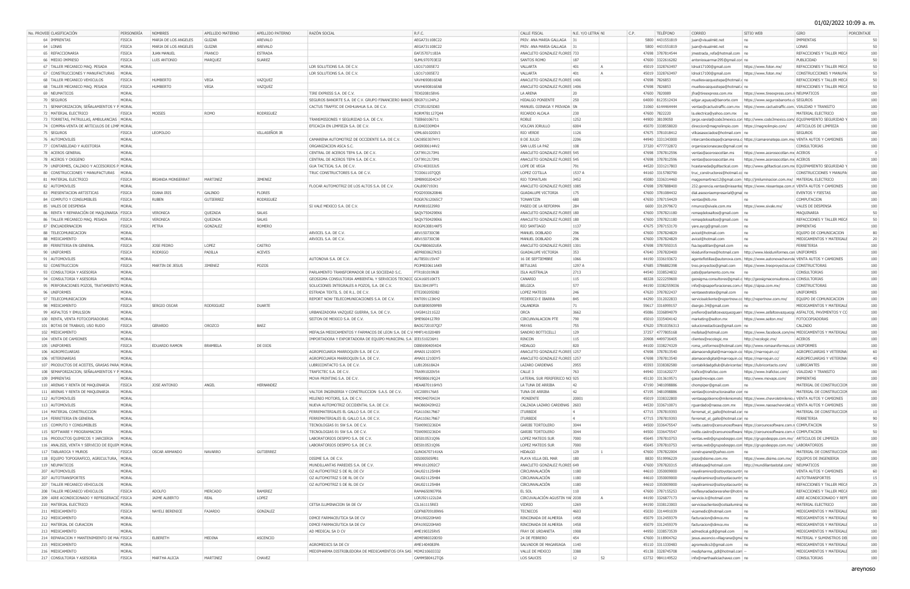## 01/02/2022 10:09 a. m.

| No. PROVEE CLASIFICACIÓN                       | PERSONERÍA             | <b>NOMBRES</b>           | APELLIDO MATERNO | APELLIDO PATERNO | RAZÓN SOCIAL                                                     | R.F.C.        | CALLE FISCAL                         | N.E. Y/O LETRA NI     | TELÉFONO<br>C.P.                     | CORREO                                                           | SITIO WEB                                                                      | GIRO                                                                                  | PORCENTAJE |
|------------------------------------------------|------------------------|--------------------------|------------------|------------------|------------------------------------------------------------------|---------------|--------------------------------------|-----------------------|--------------------------------------|------------------------------------------------------------------|--------------------------------------------------------------------------------|---------------------------------------------------------------------------------------|------------|
| 64 IMPRENTAS                                   | FISICA                 | MARIA DE LOS ANGELES     | <b>GUIZAR</b>    | AREVALO          |                                                                  | AEGA731108C22 | PRIV. ANA MARIA GALLAGA              |                       | 5800 4431551819                      | juan@visualmkt.net                                               | n <sub>0</sub>                                                                 | IMPRENTAS                                                                             |            |
| 64 LONAS                                       | FISICA                 | MARIA DE LOS ANGELES     | <b>GUIZAR</b>    | AREVALO          |                                                                  | AEGA731108C22 | PRIV. ANA MARIA GALLAGA 3:           |                       | 5800 4431551819                      | juan@visualmkt.net                                               | n <sub>0</sub>                                                                 | LONAS                                                                                 |            |
| 65 REFACCIONARIA                               | <b>FISICA</b>          | <b>JUAN MANUEL</b>       | FRANCO           | <b>ESTRADA</b>   |                                                                  | EAFJ570711B3A | ANACLETO GONZALEZ FLORES 733         |                       | 47698 3787814544                     | jmestrada_refa@hotmail.com   no                                  |                                                                                | REFACCIONES Y TALLER MECA                                                             | 100        |
|                                                |                        |                          |                  |                  |                                                                  |               |                                      |                       |                                      |                                                                  |                                                                                |                                                                                       |            |
| 66 MEDIO IMPRESO                               | <b>FISICA</b>          | LUIS ANTONIO             | MARQUEZ          | <b>SUAREZ</b>    |                                                                  | SUML970703EJ2 | <b>SANTOS ROMO</b>                   | 187                   | 47600 3322616282                     | antoniosuarmar295@gmail.con no                                   |                                                                                | PUBLICIDAD                                                                            |            |
| 67 TALLER MECANICO MAQ. PESADA                 | MORAL                  |                          |                  |                  | LDR SOLUTIONS S.A. DE C.V.                                       | LSO171005E72  | VALLARTA                             | 401<br>$\overline{A}$ | 45019 3328763497                     | ldrsol17100@gmail.com                                            | https://www.foton.mx/                                                          | REFACCIONES Y TALLER MECA                                                             |            |
| 67 CONSTRUCCIONES Y MANUFACTURAS MORAL         |                        |                          |                  |                  | LDR SOLUTIONS S.A. DE C.V.                                       | LSO171005E72  | VALLARTA                             | 401<br>$\overline{A}$ | 45019 3328763497                     | ldrsol17100@gmail.com                                            | https://www.foton.mx/                                                          | CONSTRUCCIONES Y MANUFA                                                               |            |
| 68 TALLER MECANICO VEHICULOS                   | <b>FISICA</b>          | HUMBERTO                 | VEGA             | VAZQUEZ          |                                                                  | VAVH690816EA8 | ANACLETO GONZALEZ FLORES 1406        |                       | 47698 7826853                        | muellesvazqueztepa@hotmail.c no                                  |                                                                                | REFACCIONES Y TALLER MECA                                                             |            |
| 68   TALLER MECANICO MAQ. PESADA               | <b>FISICA</b>          | HUMBERTO                 | <b>VEGA</b>      | VAZQUEZ          |                                                                  | VAVH690816EA8 | ANACLETO GONZALEZ FLORES 1406        |                       | 47698 7826853                        | muellesvazqueztepa@hotmail.c no                                  |                                                                                | REFACCIONES Y TALLER MECA                                                             |            |
| 69 NEUMATICOS                                  | MORAL                  |                          |                  |                  | TIRE EXPRESS S.A. DE C.V.                                        | TEX0208158V6  | LA ARENA                             |                       | 47600 7820089                        | jfra@tireexpress.com.mx                                          | https://www.tireexpress.com.n NEUMATICOS                                       |                                                                                       | 100        |
| 70 SEGUROS                                     | MORAL                  |                          |                  |                  | SEGUROS BANORTE S.A. DE C.V. GRUPO FINANCIERO BANOR SBG971124PL2 |               | HIDALGO PONIENTE                     | 250                   | 64000 8123512434                     |                                                                  | edgar.aguaya@banorte.com https://www.segurosbanorte.c SEGUROS                  |                                                                                       | 100        |
| 71 SEMAFORIZACION, SEÑALAMIENTOS Y P MORAL     |                        |                          |                  |                  | CACTUS TRAFFIC DE CHIHUAHUA S.A. DE C.V.                         | CTC051025D83  | MANUEL OJINAGA Y PRIVADA SN          |                       | 31060 6144464444                     |                                                                  | ventas@cactustraffic.com.mx https://www.cactustraffic.com. VIALIDAD Y TRANSITO |                                                                                       | 100        |
| 72 MATERIAL ELECTRICO                          | <b>FISICA</b>          | MOISES                   | <b>ROMO</b>      | <b>RODRIGUEZ</b> |                                                                  | RORM781127Q44 | RICARDO ALCALA                       | 230                   | 47600 7822220                        | la.electrica@yahoo.com.mx no                                     |                                                                                | MATERIAL ELECTRICO                                                                    | 100        |
| 73 TORRETAS, PATRULLAS, AMBULANCIAS MORAL      |                        |                          |                  |                  | TRANSMISIONES Y SEGURIDAD S.A. DE C.V.                           | TSE860106711  | <b>ROBLE</b>                         | 1252                  | 44900 38109050                       |                                                                  |                                                                                | jorge.varela@code3mexico.con http://www.code3mexico.com/ EQUIPAMIENTO SEGURIDAD Y     |            |
| 74 COMPRA-VENTA DE ARTICULOS DE LIMP MORAL     |                        |                          |                  |                  | EFICACIA EN LIMPIEZA S.A. DE C.V.                                | ELI040330MD4  | VOLCAN JORULLO                       | 6004                  | 45070 3338558020                     | direccion@magnolimpio.com   https://magnolimpio.com/             |                                                                                | ARTICULOS DE LIMPIEZA                                                                 |            |
| 75 SEGUROS                                     | FISICA                 | LEOPOLDO                 |                  | VILLASEÑOR JR    |                                                                  | VIML601020IV3 | RIO VERDE                            | 1126                  | 47675 3781018412                     | villcasasociados@hotmail.com   no                                |                                                                                | <b>SEGUROS</b>                                                                        |            |
| 76 AUTOMOVILES                                 | MORAL                  |                          |                  |                  | CAMARENA AUTOMOTRIZ DE OCCIDENTE S.A. DE C.V.                    | CAO850307HY1  | 8 DE JULIO                           | 2206                  | 44940 3331343000                     |                                                                  |                                                                                | intercambiostepa@camarena.c https://camarenatepa.com.mx/ VENTA AUTOS Y CAMIONES       |            |
| 77 CONTABILIDAD Y AUDITORIA                    | MORAL                  |                          |                  |                  | ORGANIZACION ASCA S.C.                                           | OAS9006144V2  | SAN LUIS LA PAZ                      | 108                   | 37320 4777732872                     | organizacionascasc@gmail.com no                                  |                                                                                | CONSULTORIAS                                                                          |            |
| 78 ACEROS GENERAL                              | MORAL                  |                          |                  |                  | CENTRAL DE ACEROS TEPA S.A. DE C.V.                              | CAT991217JM1  | ANACLETO GONZALEZ FLORES 545         |                       | 47698 3787812596                     |                                                                  | ventas@acerosocotlan.ms   https://www.acerosocotlan.mx ACEROS                  |                                                                                       |            |
| 78 ACEROS Y OXIGENO                            | <b>MORAL</b>           |                          |                  |                  | CENTRAL DE ACEROS TEPA S.A. DE C.V.                              | CAT991217JM1  | ANACLETO GONZALEZ FLORES 545         |                       | 47698 3787812596                     |                                                                  | ventas@acerosocotlan.ms https://www.acerosocotlan.mx ACEROS                    |                                                                                       | 100        |
| 79 UNIFORMES, CALZADO Y ACCESORIOS P MORAL     |                        |                          |                  |                  | GUA TACTICAL S.A. DE C.V.                                        | GTA140303JU5  | LOPE DE VEGA                         | 791                   | 44520 3331217803                     |                                                                  |                                                                                | hcastaneda@gdltactical.com   http://www.gdltactical.com.mx EQUIPAMIENTO SEGURIDAD Y   |            |
| 80 CONSTRUCCIONES Y MANUFACTURAS MORAL         |                        |                          |                  |                  | TRUC CONSTRUCTORES S.A. DE C.V.                                  | TCO061107QQ5  | <b>LOPEZ COTILLA</b>                 | 1537 A                | 44160 3315780790                     | truc_constructores@hotmail.co no                                 |                                                                                | CONSTRUCCIONES Y MANUFA                                                               |            |
| 81   MATERIAL ELECTRICO                        | <b>FISICA</b>          | <b>BRIANDA MONSERRAT</b> | MARTINEZ         | <b>JIMENEZ</b>   |                                                                  | JIMB900204CH7 | <b>RIO TOMATLAN</b>                  | 3452                  | 45080 3336314460                     |                                                                  | magpemartinez12@gmail.com http://jmiluminacion.com.mx/   MATERIAL ELECTRICO    |                                                                                       |            |
| 82 AUTOMOVILES                                 | MORAL                  |                          |                  |                  | FLOCAR AUTOMOTRIZ DE LOS ALTOS S.A. DE C.V.                      | CAL890719JX1  | ANACLETO GONZALEZ FLORES 1085        |                       | 47698 3787888400                     |                                                                  |                                                                                | 232.gerencia.ventas@nissanter https://www.nissantepa.com.n VENTA AUTOS Y CAMIONES     |            |
| 83 PRESENTACION ARTISTICAS                     |                        |                          |                  |                  |                                                                  |               |                                      |                       |                                      |                                                                  |                                                                                |                                                                                       | 100        |
|                                                | <b>FISICA</b>          | <b>DIANA IRIS</b>        | <b>GALINDO</b>   | <b>FLORES</b>    |                                                                  | FOGD930620846 | <b>GUADALUPE VICTORIA</b>            | 175                   | 47600 3781084432                     | dial.asesoriaempresarial@gmai_no                                 |                                                                                | <b>EVENTOS Y FIESTAS</b>                                                              |            |
| 84 COMPUTO Y CONSUMIBLES                       | <b>FISICA</b>          | <b>RUBEN</b>             | GUTIERREZ        | <b>RODRIGUEZ</b> |                                                                  | ROGR7612065C7 | TONANTZIN                            | 680                   | 47650 3787154429                     | ventas@klb.mx                                                    | n <sub>0</sub>                                                                 | COMPUTACION                                                                           | 100        |
| 85 VALES DE DESPENSA                           | MORAL                  |                          |                  |                  | SI VALE MEXICO S.A. DE C.V.                                      | PUN9810229R0  | <b>PASEO DE LA REFORMA</b>           | 284                   | 6600 3312979672                      | nmunoz@sivale.com.mx                                             | https://www.sivale.mx/                                                         | VALES DE DESPENSA                                                                     | 100        |
| 86 RENTA Y REPARACIÓN DE MAQUINARIA FISICA     |                        | VERONICA                 | QUEZADA          | <b>SALAS</b>     |                                                                  | SAQV750429EK6 | ANACLETO GONZALEZ FLORES 180         |                       | 47600 3787821180                     | remagdelosaltos@gmail.com   no                                   |                                                                                | MAQUINARIA                                                                            |            |
| 86   TALLER MECANICO MAQ. PESADA               | <b>FISICA</b>          | VERONICA                 | QUEZADA          | <b>SALAS</b>     |                                                                  | SAQV750429EK6 | ANACLETO GONZALEZ FLORES 180         |                       | 47600 3787821180                     | remagdelosaltos@gmail.com   no                                   |                                                                                | REFACCIONES Y TALLER MECA                                                             |            |
| 87 ENCUADERNACION                              | <b>FISICA</b>          | PETRA                    | GONZALEZ         | ROMERO           |                                                                  | ROGP630814KF5 | RIO SANTIAGO                         | 1137                  | 47675 3787153170                     | yare.aycg@gmail.com                                              |                                                                                | IMPRENTAS                                                                             |            |
| 88 TELECOMUNICACION                            | MORAL                  |                          |                  |                  | ARVICEL S.A. DE C.V.                                             | ARV150730C98  | MANUEL DOBLADO                       | 296                   | 47600 3787824829                     | avicel@hotmail.com                                               | no                                                                             | EQUIPO DE COMUNICACION                                                                |            |
| 88 MEDICAMENTO                                 | MORAL                  |                          |                  |                  | ARVICEL S.A. DE C.V.                                             | ARV150730C98  | MANUEL DOBLADO                       | 296                   | 47600 3787824829                     | avicel@hotmail.com                                               | l no                                                                           | MEDICAMENTOS Y MATERIALE                                                              |            |
| 89 FERRETERIA EN GENERAL                       | FISICA                 | <b>JOSE PEDRO</b>        | LOPEZ            | CASTRO           |                                                                  | CALP880602UEA | ANACLETO GONZALEZ FLORES 1301        |                       | 47698 3787050315                     | fsa.tepatitlan@gmail.com                                         |                                                                                | <b>FERRETERIA</b>                                                                     |            |
| 90 UNIFORMES                                   | <b>FISICA</b>          | RODRIGO                  | PADILLA          | <b>ACEVES</b>    |                                                                  | AEPR830627KS3 | <b>GUADALUPE VICTORIA</b>            | 353                   | 47640 3787820400                     |                                                                  | kleiduniformes@hotmail.com http://www.kleiduniformes.con UNIFORMES             |                                                                                       | 100        |
| 91 AUTOMOVILES                                 | MORAL                  |                          |                  |                  | AUTONOVA S.A. DE C.V.                                            | AUT850115V47  | 16 DE SEPTIEMBRE                     | 1066                  | 44190 3336193672                     |                                                                  |                                                                                | agenteflotillas@autonova.com. https://www.autonovachevrole VENTA AUTOS Y CAMIONES     | 100        |
| 92 CONSTRUCCION                                | <b>FISICA</b>          | MARTIN DE JESUS          | <b>JIMENEZ</b>   | POZOS            |                                                                  | POJM830611AK9 | <b>BETULIAS</b>                      | 1297 A                | 47685 3786882398                     |                                                                  | treo.proyectos@gmail.com   https://www.treoproyectos.cor CONSTRUCTORAS         |                                                                                       | 100        |
| 93 CONSULTORIA Y ASESORIA                      | MORAL                  |                          |                  |                  | PARLAMENTO TRANSFORMADOR DE LA SOCIEDAD S.C.                     | PTR181019NJ8  | ISLA AUSTRALIA                       | 2713                  | 44540 3338524832                     | pats@parlamento.com.mx                                           |                                                                                | CONSULTORIAS                                                                          | 100        |
| 94 CONSULTORIA Y ASESORIA                      | MORAL                  |                          |                  |                  | GEOSIGMA CONSULTORIA AMBIENTAL Y SERVICIOS TECNICO GCA160510KT5  |               | CANARIO                              | 115                   | 48328 3222259600                     |                                                                  | geosigma.consultores@gmail.c http://geosigmaconsultores.coi CONSULTORIAS       |                                                                                       |            |
| 95 PERFORACIONES POZOS, TRATAMIENTO MORAL      |                        |                          |                  |                  | SOLUCIONES INTEGRALES A POZOS, S.A. DE C.V.                      | SIA130419FT1  | <b>BELGICA</b>                       | 577                   | 44190 33382559036                    | info@sipsaperforaciones.com.n https://sipsa.com.mx/              |                                                                                | <b>CONSTRUCTORAS</b>                                                                  |            |
| 96 UNIFORMES                                   | MORAL                  |                          |                  |                  | ESTRADA TEXTIL S. DE R.L. DE C.V.                                | ETE200205DB2  | <b>LOPEZ MATEOS</b>                  | 246                   | 47620 3787822437                     | ventasestratex@gmail.com no                                      |                                                                                | <b>UNIFORMES</b>                                                                      |            |
|                                                |                        |                          |                  |                  | REPORT NOW TELECOMUNICACIONES S.A. DE C.V.                       | RNT091123KH2  | FEDERICO E IBARRA                    | 845                   | 44290 3312022833                     | servicioalcliente@reportnow.co http://reportnow.com.mx/          |                                                                                | EQUIPO DE COMUNICACION                                                                |            |
|                                                |                        |                          |                  |                  |                                                                  |               |                                      |                       |                                      |                                                                  |                                                                                |                                                                                       | 100        |
| 97 TELECOMUNICACION                            | MORAL                  |                          |                  |                  |                                                                  |               |                                      |                       |                                      |                                                                  |                                                                                |                                                                                       |            |
| 98 MEDICAMENTO                                 | <b>FISICA</b>          | SERGIO OSCAR             | RODRIGUEZ        | <b>DUARTE</b>    |                                                                  | DURS890509P89 | CALANDRIA                            |                       | 59617 3316999157                     | dsergio.34@gmail.com                                             | n <sub>0</sub>                                                                 | MEDICAMENTOS Y MATERIALE                                                              |            |
| 99 ASFALTOS Y EMULSION                         | MORAL                  |                          |                  |                  | URBANIZADORA VAZQUEZ GUERRA, S.A. DE C.V.                        | UVG841211G22  | ORCA                                 | 3662                  | 45086 3336894079                     |                                                                  |                                                                                | prefiero@asfaltosvazquezguerr https://www.asfaltosvazquezgi ASFALTOS, PAVIMENTOS Y CC | 100        |
| 100 RENTA, VENTA FOTOCOPIADORAS                | MORAL                  |                          |                  |                  | SEITON DE MEXICO S.A. DE C.V.                                    | SME9604127R9  | CIRCUNVALACION PTE                   | 790                   | 45010 3335404142                     | marketing@seiton.mx                                              | https://www.seiton.mx/                                                         | <b>FOTOCOPIADORAS</b>                                                                 | 100        |
| 101 BOTAS DE TRABAJO, USO RUDO                 | <b>FISICA</b>          | GERARDO                  | OROZCO           | BAEZ             |                                                                  | BAOG720107QI7 | MAYAS                                | 755                   | 47620 37810356313                    | solucionestacticas@gmail.com   no                                |                                                                                | CALZADO                                                                               | 100        |
| 102 MEDICAMENTO                                | MORAL                  |                          |                  |                  | MEFALSA MEDICAMENTOS Y FARMACOS DE LEON S.A. DE C.V MMF141020489 |               | SANDRO BOTTICELLI                    | 129                   | 37257 4777805168                     | mefalsa@hotmail.com                                              |                                                                                | https://www.facebook.com/me MEDICAMENTOS Y MATERIALE                                  |            |
| 104 VENTA DE CAMIONES                          | MORAL                  |                          |                  |                  | IMPORTADORA Y EXPORTADORA DE EQUIPO MUNICIPAL S.A IEE1510236H1   |               | <b>RINCON</b>                        | 115                   | 20908 4499736405                     | clientes@recologic.mx                                            | http://recologic.mx/                                                           | ACEROS                                                                                |            |
| 105 UNIFORMES                                  | FISICA                 | <b>EDUARDO RAMON</b>     | BRAMBILA         | DE DIOS          |                                                                  | DIBE6904054D4 | <b>HIDALGO</b>                       | 820                   | 44100 3338274329                     |                                                                  | roma_uniformes@hotmail.com http://www.romauniformes.cor UNIFORMES              |                                                                                       |            |
| 106   AGROPECUARIAS                            | MORAL                  |                          |                  |                  | AGROPECUARIA MARROQUIN S.A. DE C.V.                              | AMA011210DY5  | ANACLETO GONZALEZ FLORES 1257        |                       | 47698 3787813540                     | alamacendigital@marroquin.co https://marroquin.cc/               |                                                                                | AGROPECUARIAS Y VETERINA                                                              |            |
| 106 VETERINARIAS                               | MORAL                  |                          |                  |                  | AGROPECUARIA MARROQUIN S.A. DE C.V.                              | AMA011210DY5  | ANACLETO GONZALEZ FLORES 1257        |                       | 47698 3787813540                     | alamacendigital@marroquin.co https://marroquin.cc/               |                                                                                | AGROPECUARIAS Y VETERINA                                                              |            |
| 107 PRODUCTOS DE ACEITES, GRASAS PARA MORAL    |                        |                          |                  |                  | LUBRICONTACTO S.A. DE C.V.                                       | LUB120618A24  | LAZARO CARDENAS                      | 2955                  | 45593 3338382580                     | contabilidadgdlub@lubricontac( https://lubricontacto.com/        |                                                                                | <b>LUBRICANTES</b>                                                                    | 100        |
| 108 SEMAFORIZACION, SEÑALAMIENTOS Y P MORAL    |                        |                          |                  |                  | TRAFICTEC S.A. DE C.V.                                           | TRA991020V54  | CALLE <sub>3</sub>                   | 763                   | 44940 3331620277                     | trafico@trafictec.com                                            | https://www.trafictec.com/                                                     | VIALIDAD Y TRANSITO                                                                   | 100        |
| 109 IMPRENTAS                                  | MORAL                  |                          |                  |                  | MOVA PRINTING S.A. DE C.V.                                       | MPS080619Q24  | LATERAL SUR PERIFERICO NO 925        |                       | 45130 3313619571                     | gzea@movaps.com                                                  | http://www.movaps.com/                                                         | IMPRENTAS                                                                             | 100        |
| 110 ARENAS Y RENTA DE MAQUINARIA               | <b>FISICA</b>          | JOSE ANTONIO             | ANGEL            | <b>HERNANDEZ</b> |                                                                  | HEAA870116HV3 | LA TUNA DE ARRIBA                    | 42                    | 47190 3481098886                     | chompiper@gmail.com                                              |                                                                                | MATERIAL DE CONSTRUCCION                                                              | 100        |
| 111 ARENAS Y RENTA DE MAQUINARIA               | MORAL                  |                          |                  |                  | VALTOR INGENIERIA Y CONSTRUCCION S.A.S. DE C.V.                  | VIC2009176A5  | TUNA DE ARRIBA                       | 42                    | 47195 3481098886                     | ventas@constructoravaltor.con no                                 |                                                                                | MATERIAL DE CONSTRUCCION                                                              | 100        |
| 112 AUTOMOVILES                                | MORAL                  |                          |                  |                  | MILENIO MOTORS, S.A. DE C.V.                                     | MMO940704JJ4  | PONIENTE                             | 20001                 | 45019 3338322800                     |                                                                  |                                                                                | ventasagobierno@mileniomoto https://www.chevroletmilenio.. VENTA AUTOS Y CAMIONES     |            |
| 113 AUTOMOVILES                                | MORAL                  |                          |                  |                  | NUEVA AUTOMOTRIZ OCCIDENTAL S.A. DE C.V.                         | NAO860429H22  | CALZADA LAZARO CARDENAS 2603         |                       | 44530 3336710071                     |                                                                  |                                                                                |                                                                                       |            |
|                                                |                        |                          |                  |                  |                                                                  |               | <b>ITURBIDE</b>                      | $\overline{4}$        |                                      |                                                                  |                                                                                | rguardado@naosa.com.mx   https://www.naosachevrolet.cc VENTA AUTOS Y CAMIONES         |            |
| 114 MATERIAL CONSTRUCCION                      | MORAL                  |                          |                  |                  | FERREMATERIALES EL GALLO S.A. DE C.V.                            | FGA110617N67  |                                      | $\vert$ 4             | 47715 3787819393                     | ferremat_el_gallo@hotmail.con no                                 |                                                                                | MATERIAL DE CONSTRUCCION                                                              |            |
| 114 FERRETERIA EN GENERAL                      | MORAL                  |                          |                  |                  | FERREMATERIALES EL GALLO S.A. DE C.V.                            | FGA110617N67  | <b>ITURBIDE</b>                      |                       | 47715 3787819393                     | ferremat_el_gallo@hotmail.con no                                 |                                                                                | <b>FERRETERIA</b>                                                                     |            |
| 115 COMPUTO Y CONSUMIBLES                      | MORAL                  |                          |                  |                  | TECNOLOGIAS 01 SW S.A. DE C.V.                                   | TSW0903236D4  | <b>GARIBI TORTOLERO</b>              | 3044                  | 44500 3336475547                     |                                                                  | ivette.castro@cerounosoftware https://cerounosoftware.com.n COMPUTACION        |                                                                                       |            |
| 115 SOFTWARE Y PROGRAMACION                    | MORAL                  |                          |                  |                  | TECNOLOGIAS 01 SW S.A. DE C.V.                                   | TSW0903236D4  | <b>GARIBI TORTOLERO</b>              | 3044                  | 44500 3336475547                     |                                                                  | ivette.castro@cerounosoftware https://cerounosoftware.com.n COMPUTACION        |                                                                                       |            |
| 116 PRODUCTOS QUIMICOS Y JARCIERIA MORAL       |                        |                          |                  |                  | LABORATORIOS DESPPO S.A. DE C.V.                                 | DES010531Q96  | <b>LOPEZ MATEOS SUR</b>              | 7000                  | 45645 3787810753                     |                                                                  | ventas.web@grupodesppo.com https://grupodesppo.com.mx/ ARTICULOS DE LIMPIEZA   |                                                                                       |            |
| 116 ANALISIS, VENTA Y SERVICIO DE EQUIPI MORAL |                        |                          |                  |                  | LABORATORIOS DESPPO S.A. DE C.V.                                 | DES010531Q96  | LOPEZ MATEOS SUR                     | 7000                  | 45645 3787810753                     |                                                                  | ventas.web@grupodesppo.com https://grupodesppo.com.mx/ LABORATORIOS            |                                                                                       |            |
| 117 TABLAROCA Y MUROS                          | <b>FISICA</b>          | <b>OSCAR ARMANDO</b>     | NAVARRO          | <b>GUTIERREZ</b> |                                                                  | GUNO6707141KA | <b>HIDALGO</b>                       | 129                   | 47600 3787822004                     | construpanel@yahoo.com no                                        |                                                                                | MATERIAL DE CONSTRUCCION                                                              |            |
| 118 EQUIPO TOPOGRAFICO, AGRICULTURA, MORAL     |                        |                          |                  |                  | DISIME S.A. DE C.V.                                              | DIS000505PB1  | PLAYA VILLA DEL MAR                  | 180                   | 8830 5519996229                      | jrazo@disime.com.mx                                              | https://www.disime.com.mx/ EQUIPOS DE INGENIERIA                               |                                                                                       | 100        |
| 119 NEUMATICOS                                 | MORAL                  |                          |                  |                  | MUNDILLANTAS PAREDES S.A. DE C.V.                                | MPA1012092C7  | ANACLETO GONZALEZ FLORES 649         |                       | 47600 3787820315                     | elfdistepa@hotmail.com                                           | http://mundillantastotal.com/ NEUMATICOS                                       |                                                                                       | 100        |
| 207 AUTOMOVILES                                | MORAL                  |                          |                  |                  | OZ AUTOMOTRIZ S DE RL DE CV                                      | OAU021125H84  | <b>CIRCUNVALACIÓN</b>                | 1180                  | 44610 3350009000                     | nayeliramirez@oztoyotacountry no                                 |                                                                                | VENTA AUTOS Y CAMIONES                                                                |            |
| 207 AUTOTRANSPORTES                            | MORAL                  |                          |                  |                  | OZ AUTOMOTRIZ S DE RL DE CV                                      | OAU021125H84  | <b>CIRCUNVALACIÓN</b>                | 1180                  | 44610 3350009000                     | nayeliramirez@oztoyotacountry no                                 |                                                                                | <b>AUTOTRANSPORTES</b>                                                                |            |
| 207 TALLER MECANICO VEHICULOS                  | MORAL                  |                          |                  |                  | OZ AUTOMOTRIZ S DE RL DE CV                                      | OAU021125H84  | <b>CIRCUNVALACIÓN</b>                | 1180                  | 44610 3350009000                     | nayeliramirez@oztoyotacountry no                                 |                                                                                | REFACCIONES Y TALLER MECA                                                             |            |
| 208   TALLER MECANICO VEHICULOS                | <b>FISICA</b>          | ADOLFO                   | <b>MERCADO</b>   | RAMIREZ          |                                                                  | RAMA650907PI6 | EL SOL                               | 110                   | 47600 3787155253                     | moflesyradiadoresraher@hotm  no                                  |                                                                                | REFACCIONES Y TALLER MECA                                                             |            |
| 209 AIRE ACONDICIONADO Y REFRIGERACIÓ FISICA   |                        | JAIME ALBERTO            | REAL             | LOPEZ            |                                                                  | LORJ921122LDA | CIRCUVALACIÓN AGUSTIN YAÍ 2038       | $\overline{A}$        | 44190 3326877173                     | servicio.lc@hotmail.com                                          |                                                                                | AIRE ACONDICIONADO Y REFI                                                             | 100        |
| 210   MATERIAL ELECTRICO                       | MORAL                  |                          |                  |                  | CETSA ILUMINACION SA DE CV                                       | CIL161115RE3  | VIDRIO                               | 1269                  | 44190 3338123003                     | servicioaclientes@cetsailumina no                                |                                                                                | MATERIAL ELECTRICO                                                                    | 100        |
| 211   MEDICAMENTO                              | <b>FISICA</b>          | NAYELI BERENICE          | <b>FAJARDO</b>   | GONZALEZ         |                                                                  | GOFN8709189W6 | <b>TECNICOS</b>                      | 4603                  | 45030 3314491039                     | vicamedic@hotmail.com                                            | no                                                                             | MEDICAMENTOS Y MATERIALE                                                              | 100        |
|                                                |                        |                          |                  |                  |                                                                  |               |                                      | 1458                  |                                      |                                                                  | no                                                                             |                                                                                       | 90         |
| 212 MEDICAMENTO                                | MORAL                  |                          |                  |                  | DIMCE FARMACEUTICA SA DE CV                                      | DFA190220HW0  | RINCONADA DE ALMERIA                 |                       | 45079 3312459379                     | facturacion@dimce.mx                                             |                                                                                | MEDICAMENTOS Y MATERIALE                                                              |            |
| 212 MATERIAL DE CURACION                       | MORAL                  |                          |                  |                  | DIMCE FARMACEUTICA SA DE CV                                      | DFA190220HW0  | RINCONADA DE ALMERIA                 | 1458                  | 45079 3312459379                     | facturacion@dimce.mx                                             | no                                                                             | MEDICAMENTOS Y MATERIALE                                                              |            |
| 213 MEDICAMENTO                                | MORAL                  |                          |                  |                  | AD MEDICAL SA D CV                                               | AME190325RV5  | <b>FRAY DE URDANETA</b>              | 1908                  | 44950 3338573539                     | admedical.gdl@gmail.com no                                       |                                                                                | MEDICAMENTOS Y MATERIALE                                                              | 100        |
| 214 REPARACION Y MANTENIMIENTO DE MA FISICA    |                        | ELBERETH                 | MEDINA           | <b>ASCENCIO</b>  |                                                                  | AEME980320D50 | 24 DE FEBRERO                        | 454                   | 47600 3118904762                     | jesus.ascencio.villagrana@gma no                                 |                                                                                | MATERIAL Y SUMINSTROS DEI                                                             | 100        |
| 215   MEDICAMENTO                              | MORAL                  |                          |                  |                  | AGROMEDICS SA DE CV                                              | AME140408JPA  | SALVADOR DE MAGARIAGA   1140         |                       | 45110 3311330483                     | agromedics3@gmail.com no                                         |                                                                                | MEDICAMENTOS Y MATERIALE                                                              | 100        |
| 216 MEDICAMENTO<br>217 CONSULTORIA Y ASESORIA  | MORAL<br><b>FISICA</b> | MARTHA ALICIA            | MARTINEZ         | CHAVEZ           | MEDIPHARMA DISTRIBUIDORA DE MEDICAMENTOS OFA SAS   MDM210603332  | CAMM580412TQ6 | VALLE DE MEXICO<br><b>LOS SAUCES</b> | 3388<br>52<br>12      | 45138 3328745708<br>63732 9841149522 | medipharma_gdl@hotmail.com -<br>info@marthaaliciachavez.com   no |                                                                                | MEDICAMENTOS Y MATERIALE<br>CONSULTORIAS                                              | 100        |